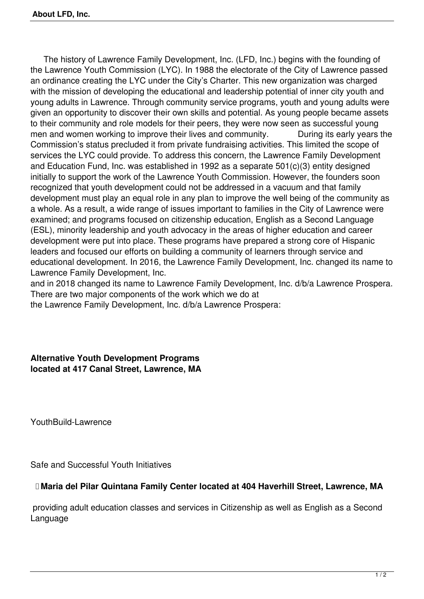The history of Lawrence Family Development, Inc. (LFD, Inc.) begins with the founding of the Lawrence Youth Commission (LYC). In 1988 the electorate of the City of Lawrence passed an ordinance creating the LYC under the City's Charter. This new organization was charged with the mission of developing the educational and leadership potential of inner city youth and young adults in Lawrence. Through community service programs, youth and young adults were given an opportunity to discover their own skills and potential. As young people became assets to their community and role models for their peers, they were now seen as successful young men and women working to improve their lives and community. During its early years the Commission's status precluded it from private fundraising activities. This limited the scope of services the LYC could provide. To address this concern, the Lawrence Family Development and Education Fund, Inc. was established in 1992 as a separate 501(c)(3) entity designed initially to support the work of the Lawrence Youth Commission. However, the founders soon recognized that youth development could not be addressed in a vacuum and that family development must play an equal role in any plan to improve the well being of the community as a whole. As a result, a wide range of issues important to families in the City of Lawrence were examined; and programs focused on citizenship education, English as a Second Language (ESL), minority leadership and youth advocacy in the areas of higher education and career development were put into place. These programs have prepared a strong core of Hispanic leaders and focused our efforts on building a community of learners through service and educational development. In 2016, the Lawrence Family Development, Inc. changed its name to Lawrence Family Development, Inc.

and in 2018 changed its name to Lawrence Family Development, Inc. d/b/a Lawrence Prospera. There are two major components of the work which we do at

the Lawrence Family Development, Inc. d/b/a Lawrence Prospera:

## **Alternative Youth Development Programs located at 417 Canal Street, Lawrence, MA**

YouthBuild-Lawrence

Safe and Successful Youth Initiatives

## **Maria del Pilar Quintana Family Center located at 404 Haverhill Street, Lawrence, MA**

 providing adult education classes and services in Citizenship as well as English as a Second Language